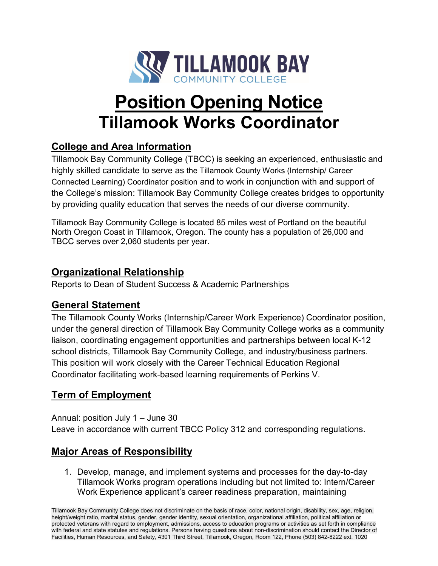

# **Position Opening Notice Tillamook Works Coordinator**

# **College and Area Information**

Tillamook Bay Community College (TBCC) is seeking an experienced, enthusiastic and highly skilled candidate to serve as the Tillamook County Works (Internship/ Career Connected Learning) Coordinator position and to work in conjunction with and support of the College's mission: Tillamook Bay Community College creates bridges to opportunity by providing quality education that serves the needs of our diverse community.

Tillamook Bay Community College is located 85 miles west of Portland on the beautiful North Oregon Coast in Tillamook, Oregon. The county has a population of 26,000 and TBCC serves over 2,060 students per year.

## **Organizational Relationship**

Reports to Dean of Student Success & Academic Partnerships

## **General Statement**

The Tillamook County Works (Internship/Career Work Experience) Coordinator position, under the general direction of Tillamook Bay Community College works as a community liaison, coordinating engagement opportunities and partnerships between local K-12 school districts, Tillamook Bay Community College, and industry/business partners. This position will work closely with the Career Technical Education Regional Coordinator facilitating work-based learning requirements of Perkins V.

## **Term of Employment**

Annual: position July 1 – June 30 Leave in accordance with current TBCC Policy 312 and corresponding regulations.

# **Major Areas of Responsibility**

1. Develop, manage, and implement systems and processes for the day-to-day Tillamook Works program operations including but not limited to: Intern/Career Work Experience applicant's career readiness preparation, maintaining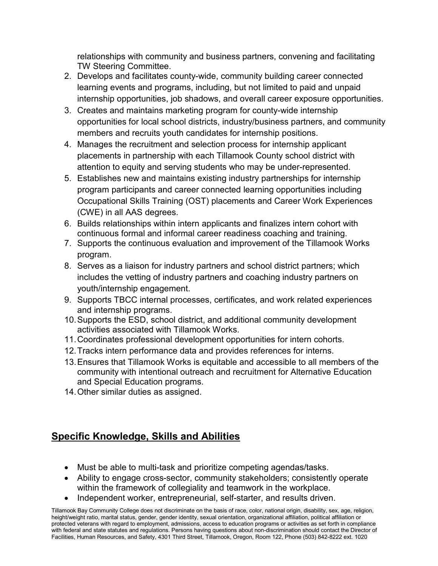relationships with community and business partners, convening and facilitating TW Steering Committee.

- 2. Develops and facilitates county-wide, community building career connected learning events and programs, including, but not limited to paid and unpaid internship opportunities, job shadows, and overall career exposure opportunities.
- 3. Creates and maintains marketing program for county-wide internship opportunities for local school districts, industry/business partners, and community members and recruits youth candidates for internship positions.
- 4. Manages the recruitment and selection process for internship applicant placements in partnership with each Tillamook County school district with attention to equity and serving students who may be under-represented.
- 5. Establishes new and maintains existing industry partnerships for internship program participants and career connected learning opportunities including Occupational Skills Training (OST) placements and Career Work Experiences (CWE) in all AAS degrees.
- 6. Builds relationships within intern applicants and finalizes intern cohort with continuous formal and informal career readiness coaching and training.
- 7. Supports the continuous evaluation and improvement of the Tillamook Works program.
- 8. Serves as a liaison for industry partners and school district partners; which includes the vetting of industry partners and coaching industry partners on youth/internship engagement.
- 9. Supports TBCC internal processes, certificates, and work related experiences and internship programs.
- 10.Supports the ESD, school district, and additional community development activities associated with Tillamook Works.
- 11.Coordinates professional development opportunities for intern cohorts.
- 12.Tracks intern performance data and provides references for interns.
- 13.Ensures that Tillamook Works is equitable and accessible to all members of the community with intentional outreach and recruitment for Alternative Education and Special Education programs.
- 14.Other similar duties as assigned.

# **Specific Knowledge, Skills and Abilities**

- Must be able to multi-task and prioritize competing agendas/tasks.
- Ability to engage cross-sector, community stakeholders; consistently operate within the framework of collegiality and teamwork in the workplace.
- Independent worker, entrepreneurial, self-starter, and results driven.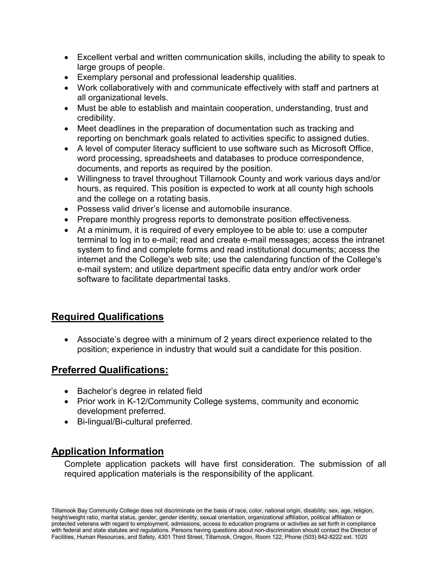- Excellent verbal and written communication skills, including the ability to speak to large groups of people.
- Exemplary personal and professional leadership qualities.
- Work collaboratively with and communicate effectively with staff and partners at all organizational levels.
- Must be able to establish and maintain cooperation, understanding, trust and credibility.
- Meet deadlines in the preparation of documentation such as tracking and reporting on benchmark goals related to activities specific to assigned duties.
- A level of computer literacy sufficient to use software such as Microsoft Office, word processing, spreadsheets and databases to produce correspondence, documents, and reports as required by the position.
- Willingness to travel throughout Tillamook County and work various days and/or hours, as required. This position is expected to work at all county high schools and the college on a rotating basis.
- Possess valid driver's license and automobile insurance.
- Prepare monthly progress reports to demonstrate position effectiveness.
- At a minimum, it is required of every employee to be able to: use a computer terminal to log in to e-mail; read and create e-mail messages; access the intranet system to find and complete forms and read institutional documents; access the internet and the College's web site; use the calendaring function of the College's e-mail system; and utilize department specific data entry and/or work order software to facilitate departmental tasks.

## **Required Qualifications**

• Associate's degree with a minimum of 2 years direct experience related to the position; experience in industry that would suit a candidate for this position.

#### **Preferred Qualifications:**

- Bachelor's degree in related field
- Prior work in K-12/Community College systems, community and economic development preferred.
- Bi-lingual/Bi-cultural preferred.

## **Application Information**

Complete application packets will have first consideration. The submission of all required application materials is the responsibility of the applicant.